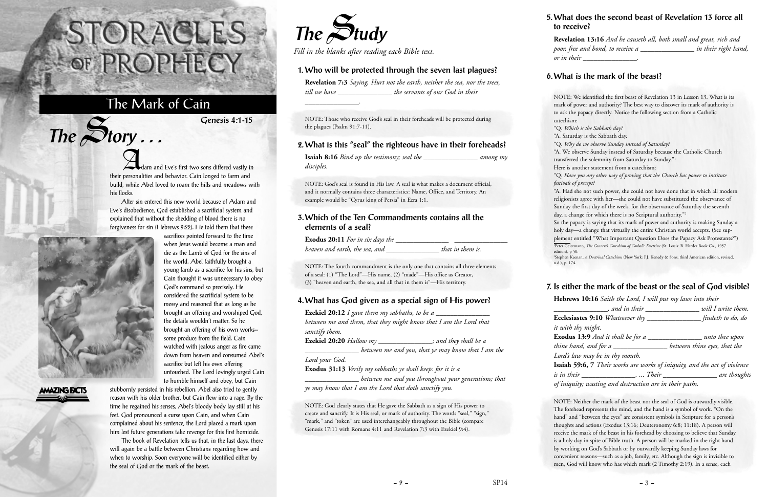Adam and Eve's first two sons differed vastly in their personalities and behavior. Cain longed to farm and build, while Abel loved to roam the hills and meadows with his flocks.

After sin entered this new world because of Adam and Eve's disobedience, God established a sacrificial system and explained that without the shedding of blood there is no forgiveness for sin (Hebrews 9:22). He told them that these

> sacrifices pointed forward to the time when Jesus would become a man and die as the Lamb of God for the sins of the world. Abel faithfully brought a young lamb as a sacrifice for his sins, but Cain thought it was unnecessary to obey

God's command so precisely. He considered the sacrificial system to be messy and reasoned that as long as he brought an offering and worshiped God, the details wouldn't matter. So he brought an offering of his own works some produce from the field. Cain watched with jealous anger as fire came down from heaven and consumed Abel's

sacrifice but left his own offering

untouched. The Lord lovingly urged Cain



 $The$  $S$ **tory** ...

## **AMAZING FACTS**

to humble himself and obey, but Cain stubbornly persisted in his rebellion. Abel also tried to gently reason with his older brother, but Cain flew into a rage. By the time he regained his senses, Abel's bloody body lay still at his feet. God pronounced a curse upon Cain, and when Cain complained about his sentence, the Lord placed a mark upon him lest future generations take revenge for this first homicide.

The book of Revelation tells us that, in the last days, there will again be a battle between Christians regarding how and when to worship. Soon everyone will be identified either by the seal of God or the mark of the beast.

# STORACLES-OF PROPHECY

## The Mark of Cain

**Genesis 4:1-15**



*Fill in the blanks after reading each Bible text.*

### **1. Who will be protected through the seven last plagues?**

**Revelation 7:3** *Saying, Hurt not the earth, neither the sea, nor the trees, till we have \_\_\_\_\_\_\_\_\_\_\_\_\_\_\_ the servants of our God in their*

*\_\_\_\_\_\_\_\_\_\_\_\_\_\_\_.*

NOTE: Those who receive God's seal in their foreheads will be protected during the plagues (Psalm 91:7-11).

#### **2. What is this "seal" the righteous have in their foreheads?**

**Isaiah 8:16** *Bind up the testimony; seal the \_\_\_\_\_\_\_\_\_\_\_\_\_\_\_ among my disciples.*

> "A. Had she not such power, she could not have done that in which all modern religionists agree with her—she could not have substituted the observance of Sunday the first day of the week, for the observance of Saturday the seventh day, a change for which there is no Scriptural authority."<sup>2</sup>

NOTE: God's seal is found in His law. A seal is what makes a document official, and it normally contains three characteristics: Name, Office, and Territory. An example would be "Cyrus king of Persia" in Ezra 1:1.

#### **3. Which of the Ten Commandments contains all the elements of a seal?**

**Exodus 20:11** *For in six days the \_\_\_\_\_\_\_\_\_\_\_\_\_\_\_ \_\_\_\_\_\_\_\_\_\_\_\_\_\_\_ heaven and earth, the sea, and \_\_\_\_\_\_\_\_\_\_\_\_\_\_\_ that in them is.*

NOTE: The fourth commandment is the only one that contains all three elements of a seal: (1) "The Lord"—His name, (2) "made"—His office as Creator, (3) "heaven and earth, the sea, and all that in them is"—His territory.

> $it w_i$ *Lord's law may be in thy mouth.*

 $-2 - 3 - 5$ 

#### **4. What has God given as a special sign of His power?**

| <b>Ezekiel 20:12</b> I gave them my sabbaths, to be a             |                                                    |
|-------------------------------------------------------------------|----------------------------------------------------|
| between me and them, that they might know that I am the Lord that |                                                    |
| sanctify them.                                                    |                                                    |
| Ezekiel 20:20 Hallow my                                           | $\_\_$ ; and they shall be a                       |
|                                                                   | between me and you, that ye may know that I am the |
| Lord your God.                                                    |                                                    |
| <b>Exodus 31:13</b> Verily my sabbaths ye shall keep: for it is a |                                                    |

*\_\_\_\_\_\_\_\_\_\_\_\_\_\_\_ between me and you throughout your generations; that ye may know that I am the Lord that doth sanctify you.*

NOTE: God clearly states that He gave the Sabbath as a sign of His power to create and sanctify. It is His seal, or mark of authority. The words "seal," "sign," "mark," and "token" are used interchangeably throughout the Bible (compare Genesis 17:11 with Romans 4:11 and Revelation 7:3 with Ezekiel 9:4).

#### **5. What does the second beast of Revelation 13 force all to receive?**

**Revelation 13:16** *And he causeth all, both small and great, rich and poor, free and bond, to receive a \_\_\_\_\_\_\_\_\_\_\_\_\_\_\_ in their right hand, or in their \_\_\_\_\_\_\_\_\_\_\_\_\_\_\_.*

#### **6. What is the mark of the beast?**

NOTE: We identified the first beast of Revelation 13 in Lesson 13. What is its mark of power and authority? The best way to discover its mark of authority is to ask the papacy directly. Notice the following section from a Catholic

catechism:

"Q. *Which is the Sabbath day?*

"A. Saturday is the Sabbath day.

"Q. *Why do we observe Sunday instead of Saturday?*

"A. We observe Sunday instead of Saturday because the Catholic Church transferred the solemnity from Saturday to Sunday."1

Here is another statement from a catechism:

"Q. *Have you any other way of proving that the Church has power to institute festivals of precept?*

So the papacy is saying that its mark of power and authority is making Sunday a holy day—a change that virtually the entire Christian world accepts. (See supplement entitled "What Important Question Does the Papacy Ask Protestants?") 1 Peter Geiermann, *The Convert's Catechism of Catholic Doctrine* (St. Louis: B. Herder Book Co., 1957 edition), p 50.

2 Stephen Keenan, *A Doctrinal Catechism* (New York: P.J. Kenedy & Sons, third American edition, revised, n.d.), p. 174.

#### **7. Is either the mark of the beast or the seal of God visible?**

| Hebrews 10:16 Saith the Lord, I will put my laws into their                      |                              |
|----------------------------------------------------------------------------------|------------------------------|
| , and in their                                                                   | will I write them.           |
| Ecclesiastes 9:10 Whatsoever thy _____________                                   | $f$ indeth to do, do         |
| it with thy might.                                                               |                              |
| <b>Exodus 13:9</b> And it shall be for a                                         | <u>ments</u> unto thee upon  |
| thine hand, and for a _____________                                              | between thine eyes, that the |
| Lord's law may be in thy mouth.                                                  |                              |
| <b>Isaiah 59:6,</b> 7 Their works are works of iniquity, and the act of violence |                              |
| is in their __________________.  Their __                                        | are thoughts                 |

*of iniquity; wasting and destruction are in their paths.*

NOTE: Neither the mark of the beast nor the seal of God is outwardly visible. The forehead represents the mind, and the hand is a symbol of work. "On the hand" and "between the eyes" are consistent symbols in Scripture for a person's thoughts and actions (Exodus 13:16; Deuteronomy 6:8; 11:18). A person will receive the mark of the beast in his forehead by choosing to believe that Sunday is a holy day in spite of Bible truth. A person will be marked in the right hand by working on God's Sabbath or by outwardly keeping Sunday laws for convenient reasons—such as a job, family, etc. Although the sign is invisible to

men, God will know who has which mark (2 Timothy 2:19). In a sense, each